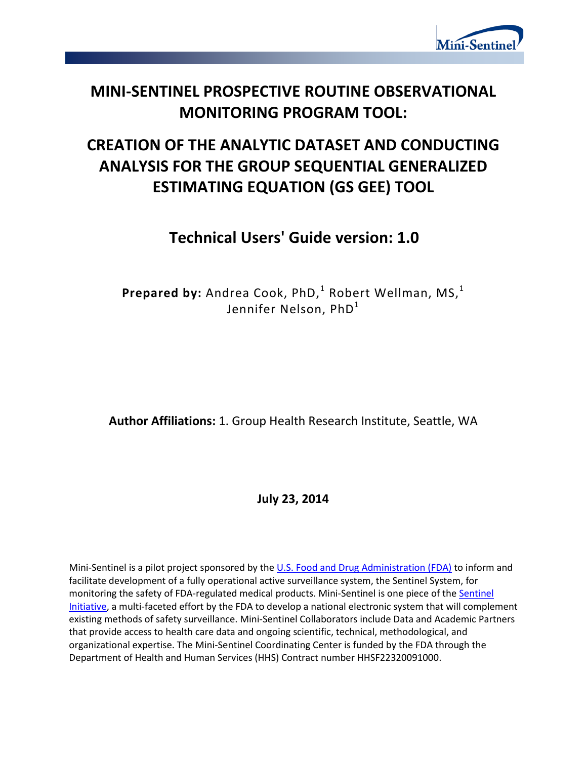

# **MINI-SENTINEL PROSPECTIVE ROUTINE OBSERVATIONAL MONITORING PROGRAM TOOL:**

# **CREATION OF THE ANALYTIC DATASET AND CONDUCTING ANALYSIS FOR THE GROUP SEQUENTIAL GENERALIZED ESTIMATING EQUATION (GS GEE) TOOL**

# **Technical Users' Guide version: 1.0**

**Prepared by:** Andrea Cook, PhD, <sup>1</sup> Robert Wellman, MS, 1 Jennifer Nelson, PhD<sup>1</sup>

**Author Affiliations:** 1. Group Health Research Institute, Seattle, WA

**July 23, 2014** 

Mini-Sentinel is a pilot project sponsored by th[e U.S. Food and Drug Administration \(FDA\)](http://www.fda.gov/) to inform and facilitate development of a fully operational active surveillance system, the Sentinel System, for monitoring the safety of FDA-regulated medical products. Mini-Sentinel is one piece of the [Sentinel](http://www.fda.gov/Safety/FDAsSentinelInitiative/default.htm)  [Initiative,](http://www.fda.gov/Safety/FDAsSentinelInitiative/default.htm) a multi-faceted effort by the FDA to develop a national electronic system that will complement existing methods of safety surveillance. Mini-Sentinel Collaborators include Data and Academic Partners that provide access to health care data and ongoing scientific, technical, methodological, and organizational expertise. The Mini-Sentinel Coordinating Center is funded by the FDA through the Department of Health and Human Services (HHS) Contract number HHSF22320091000.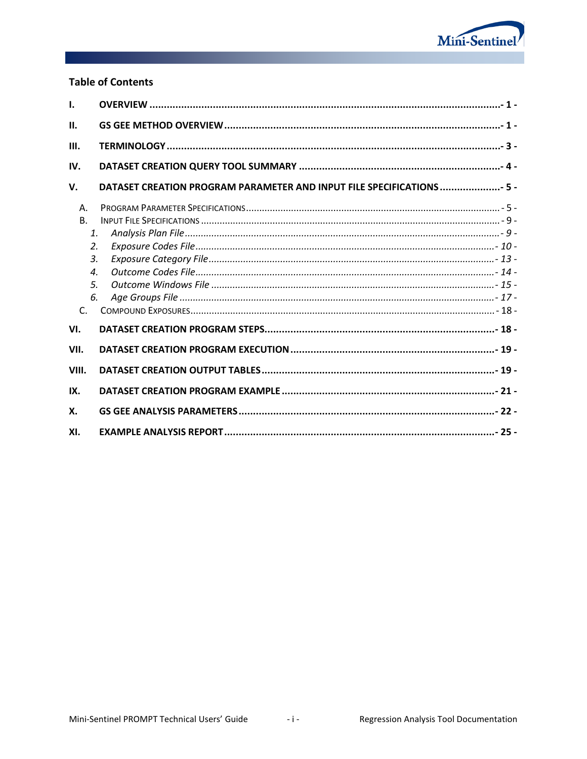

# **Table of Contents**

| $\mathbf{I}$ .                                                                                       |                                                                       |  |
|------------------------------------------------------------------------------------------------------|-----------------------------------------------------------------------|--|
| II.                                                                                                  |                                                                       |  |
| III.                                                                                                 |                                                                       |  |
| IV.                                                                                                  |                                                                       |  |
| V.                                                                                                   | DATASET CREATION PROGRAM PARAMETER AND INPUT FILE SPECIFICATIONS  5 - |  |
| Α.<br>B <sub>1</sub><br>$\mathbf{1}$ .<br>2.<br>3.<br>$\boldsymbol{\mathcal{A}}$ .<br>5.<br>6.<br>C. |                                                                       |  |
| VI.                                                                                                  |                                                                       |  |
| VII.                                                                                                 |                                                                       |  |
| VIII.                                                                                                |                                                                       |  |
| IX.                                                                                                  |                                                                       |  |
| X.                                                                                                   |                                                                       |  |
| XI.                                                                                                  |                                                                       |  |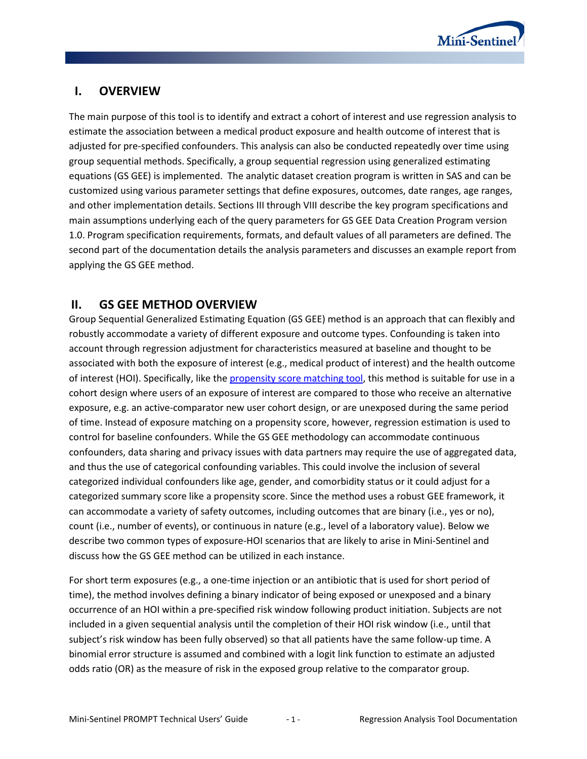

# **I. OVERVIEW**

The main purpose of this tool is to identify and extract a cohort of interest and use regression analysis to estimate the association between a medical product exposure and health outcome of interest that is adjusted for pre-specified confounders. This analysis can also be conducted repeatedly over time using group sequential methods. Specifically, a group sequential regression using generalized estimating equations (GS GEE) is implemented. The analytic dataset creation program is written in SAS and can be customized using various parameter settings that define exposures, outcomes, date ranges, age ranges, and other implementation details. Sections III through VIII describe the key program specifications and main assumptions underlying each of the query parameters for GS GEE Data Creation Program version 1.0. Program specification requirements, formats, and default values of all parameters are defined. The second part of the documentation details the analysis parameters and discusses an example report from applying the GS GEE method.

# **II. GS GEE METHOD OVERVIEW**

Group Sequential Generalized Estimating Equation (GS GEE) method is an approach that can flexibly and robustly accommodate a variety of different exposure and outcome types. Confounding is taken into account through regression adjustment for characteristics measured at baseline and thought to be associated with both the exposure of interest (e.g., medical product of interest) and the health outcome of interest (HOI). Specifically, like th[e propensity score matching tool,](http://www.mini-sentinel.org/methods/methods_development/details.aspx?ID=1045) this method is suitable for use in a cohort design where users of an exposure of interest are compared to those who receive an alternative exposure, e.g. an active-comparator new user cohort design, or are unexposed during the same period of time. Instead of exposure matching on a propensity score, however, regression estimation is used to control for baseline confounders. While the GS GEE methodology can accommodate continuous confounders, data sharing and privacy issues with data partners may require the use of aggregated data, and thus the use of categorical confounding variables. This could involve the inclusion of several categorized individual confounders like age, gender, and comorbidity status or it could adjust for a categorized summary score like a propensity score. Since the method uses a robust GEE framework, it can accommodate a variety of safety outcomes, including outcomes that are binary (i.e., yes or no), count (i.e., number of events), or continuous in nature (e.g., level of a laboratory value). Below we describe two common types of exposure-HOI scenarios that are likely to arise in Mini-Sentinel and discuss how the GS GEE method can be utilized in each instance.

For short term exposures (e.g., a one-time injection or an antibiotic that is used for short period of time), the method involves defining a binary indicator of being exposed or unexposed and a binary occurrence of an HOI within a pre-specified risk window following product initiation. Subjects are not included in a given sequential analysis until the completion of their HOI risk window (i.e., until that subject's risk window has been fully observed) so that all patients have the same follow-up time. A binomial error structure is assumed and combined with a logit link function to estimate an adjusted odds ratio (OR) as the measure of risk in the exposed group relative to the comparator group.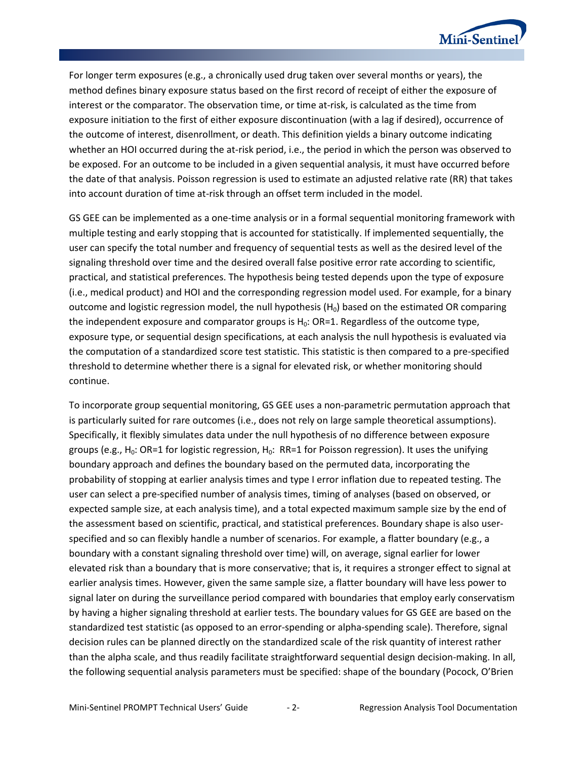

For longer term exposures (e.g., a chronically used drug taken over several months or years), the method defines binary exposure status based on the first record of receipt of either the exposure of interest or the comparator. The observation time, or time at-risk, is calculated as the time from exposure initiation to the first of either exposure discontinuation (with a lag if desired), occurrence of the outcome of interest, disenrollment, or death. This definition yields a binary outcome indicating whether an HOI occurred during the at-risk period, i.e., the period in which the person was observed to be exposed. For an outcome to be included in a given sequential analysis, it must have occurred before the date of that analysis. Poisson regression is used to estimate an adjusted relative rate (RR) that takes into account duration of time at-risk through an offset term included in the model.

GS GEE can be implemented as a one-time analysis or in a formal sequential monitoring framework with multiple testing and early stopping that is accounted for statistically. If implemented sequentially, the user can specify the total number and frequency of sequential tests as well as the desired level of the signaling threshold over time and the desired overall false positive error rate according to scientific, practical, and statistical preferences. The hypothesis being tested depends upon the type of exposure (i.e., medical product) and HOI and the corresponding regression model used. For example, for a binary outcome and logistic regression model, the null hypothesis  $(H_0)$  based on the estimated OR comparing the independent exposure and comparator groups is  $H_0$ : OR=1. Regardless of the outcome type, exposure type, or sequential design specifications, at each analysis the null hypothesis is evaluated via the computation of a standardized score test statistic. This statistic is then compared to a pre-specified threshold to determine whether there is a signal for elevated risk, or whether monitoring should continue.

To incorporate group sequential monitoring, GS GEE uses a non-parametric permutation approach that is particularly suited for rare outcomes (i.e., does not rely on large sample theoretical assumptions). Specifically, it flexibly simulates data under the null hypothesis of no difference between exposure groups (e.g.,  $H_0$ : OR=1 for logistic regression,  $H_0$ : RR=1 for Poisson regression). It uses the unifying boundary approach and defines the boundary based on the permuted data, incorporating the probability of stopping at earlier analysis times and type I error inflation due to repeated testing. The user can select a pre-specified number of analysis times, timing of analyses (based on observed, or expected sample size, at each analysis time), and a total expected maximum sample size by the end of the assessment based on scientific, practical, and statistical preferences. Boundary shape is also userspecified and so can flexibly handle a number of scenarios. For example, a flatter boundary (e.g., a boundary with a constant signaling threshold over time) will, on average, signal earlier for lower elevated risk than a boundary that is more conservative; that is, it requires a stronger effect to signal at earlier analysis times. However, given the same sample size, a flatter boundary will have less power to signal later on during the surveillance period compared with boundaries that employ early conservatism by having a higher signaling threshold at earlier tests. The boundary values for GS GEE are based on the standardized test statistic (as opposed to an error-spending or alpha-spending scale). Therefore, signal decision rules can be planned directly on the standardized scale of the risk quantity of interest rather than the alpha scale, and thus readily facilitate straightforward sequential design decision-making. In all, the following sequential analysis parameters must be specified: shape of the boundary (Pocock, O'Brien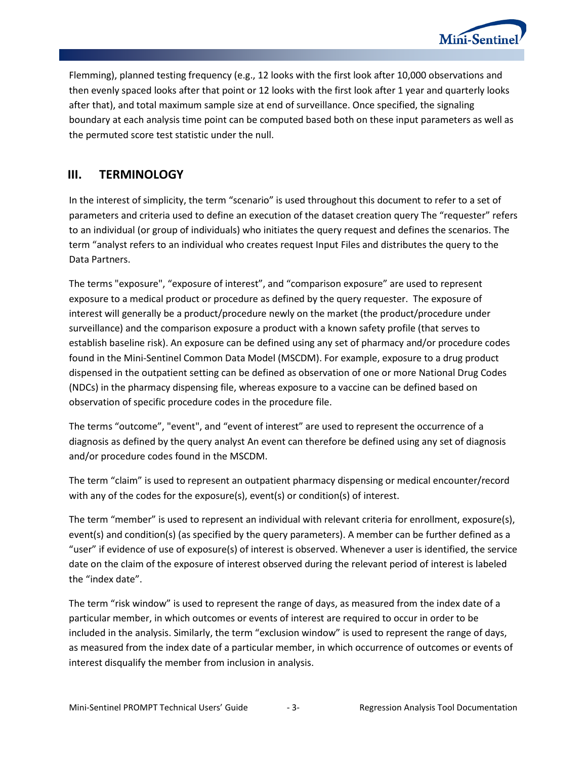

Flemming), planned testing frequency (e.g., 12 looks with the first look after 10,000 observations and then evenly spaced looks after that point or 12 looks with the first look after 1 year and quarterly looks after that), and total maximum sample size at end of surveillance. Once specified, the signaling boundary at each analysis time point can be computed based both on these input parameters as well as the permuted score test statistic under the null.

# **III. TERMINOLOGY**

In the interest of simplicity, the term "scenario" is used throughout this document to refer to a set of parameters and criteria used to define an execution of the dataset creation query The "requester" refers to an individual (or group of individuals) who initiates the query request and defines the scenarios. The term "analyst refers to an individual who creates request Input Files and distributes the query to the Data Partners.

The terms "exposure", "exposure of interest", and "comparison exposure" are used to represent exposure to a medical product or procedure as defined by the query requester. The exposure of interest will generally be a product/procedure newly on the market (the product/procedure under surveillance) and the comparison exposure a product with a known safety profile (that serves to establish baseline risk). An exposure can be defined using any set of pharmacy and/or procedure codes found in the Mini-Sentinel Common Data Model (MSCDM). For example, exposure to a drug product dispensed in the outpatient setting can be defined as observation of one or more National Drug Codes (NDCs) in the pharmacy dispensing file, whereas exposure to a vaccine can be defined based on observation of specific procedure codes in the procedure file.

The terms "outcome", "event", and "event of interest" are used to represent the occurrence of a diagnosis as defined by the query analyst An event can therefore be defined using any set of diagnosis and/or procedure codes found in the MSCDM.

The term "claim" is used to represent an outpatient pharmacy dispensing or medical encounter/record with any of the codes for the exposure(s), event(s) or condition(s) of interest.

The term "member" is used to represent an individual with relevant criteria for enrollment, exposure(s), event(s) and condition(s) (as specified by the query parameters). A member can be further defined as a "user" if evidence of use of exposure(s) of interest is observed. Whenever a user is identified, the service date on the claim of the exposure of interest observed during the relevant period of interest is labeled the "index date".

The term "risk window" is used to represent the range of days, as measured from the index date of a particular member, in which outcomes or events of interest are required to occur in order to be included in the analysis. Similarly, the term "exclusion window" is used to represent the range of days, as measured from the index date of a particular member, in which occurrence of outcomes or events of interest disqualify the member from inclusion in analysis.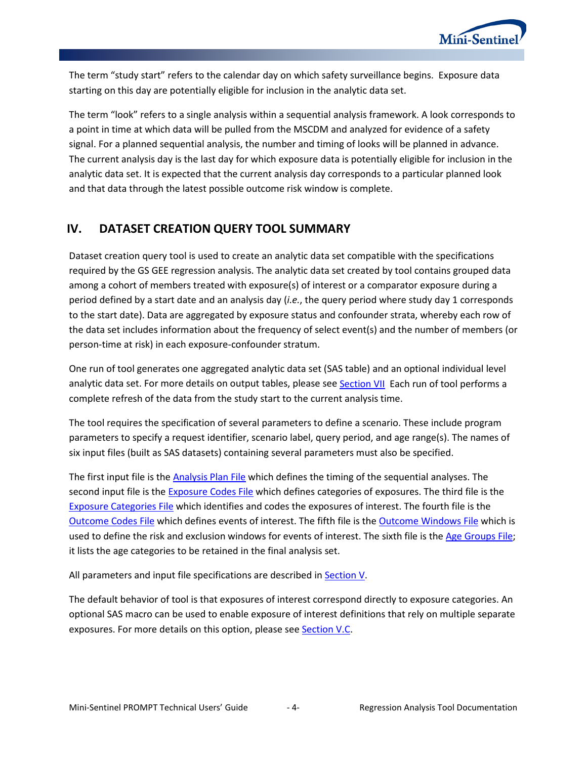

The term "study start" refers to the calendar day on which safety surveillance begins. Exposure data starting on this day are potentially eligible for inclusion in the analytic data set.

The term "look" refers to a single analysis within a sequential analysis framework. A look corresponds to a point in time at which data will be pulled from the MSCDM and analyzed for evidence of a safety signal. For a planned sequential analysis, the number and timing of looks will be planned in advance. The current analysis day is the last day for which exposure data is potentially eligible for inclusion in the analytic data set. It is expected that the current analysis day corresponds to a particular planned look and that data through the latest possible outcome risk window is complete.

# **IV. DATASET CREATION QUERY TOOL SUMMARY**

Dataset creation query tool is used to create an analytic data set compatible with the specifications required by the GS GEE regression analysis. The analytic data set created by tool contains grouped data among a cohort of members treated with exposure(s) of interest or a comparator exposure during a period defined by a start date and an analysis day (*i.e.*, the query period where study day 1 corresponds to the start date). Data are aggregated by exposure status and confounder strata, whereby each row of the data set includes information about the frequency of select event(s) and the number of members (or person-time at risk) in each exposure-confounder stratum.

One run of tool generates one aggregated analytic data set (SAS table) and an optional individual level analytic data set. For more details on output tables, please see [Section VII](#page-20-0) Each run of tool performs a complete refresh of the data from the study start to the current analysis time.

The tool requires the specification of several parameters to define a scenario. These include program parameters to specify a request identifier, scenario label, query period, and age range(s). The names of six input files (built as SAS datasets) containing several parameters must also be specified.

The first input file is the [Analysis Plan](#page-10-0) File which defines the timing of the sequential analyses. The second input file is th[e Exposure Codes](#page-11-0) File which defines categories of exposures. The third file is the [Exposure Categories File](#page-13-0) which identifies and codes the exposures of interest. The fourth file is the [Outcome Codes File](#page-14-0) which defines events of interest. The fifth file is the [Outcome Windows File](#page-16-0) which is used to define the risk and exclusion windows for events of interest. The sixth file is the [Age Groups File;](#page-18-0) it lists the age categories to be retained in the final analysis set.

All parameters and input file specifications are described in [Section V.](#page-6-0)

The default behavior of tool is that exposures of interest correspond directly to exposure categories. An optional SAS macro can be used to enable exposure of interest definitions that rely on multiple separate exposures. For more details on this option, please see [Section V.C.](#page-19-0)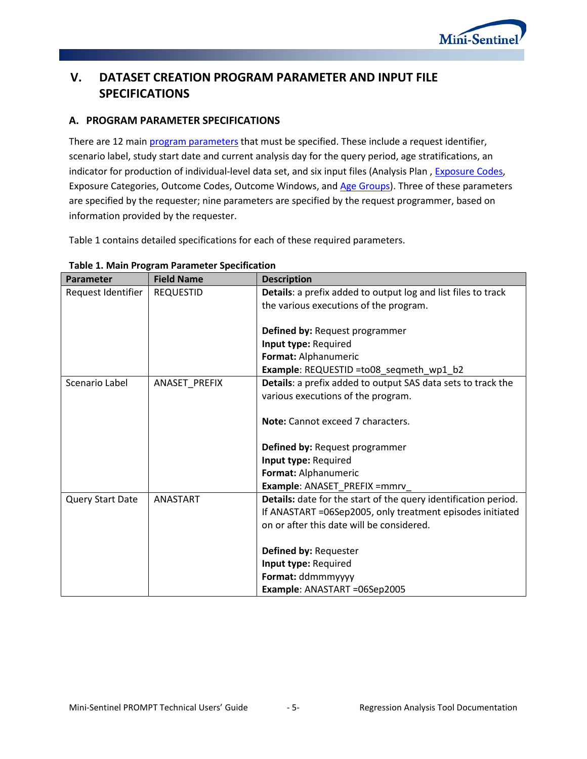

# <span id="page-6-0"></span>**V. DATASET CREATION PROGRAM PARAMETER AND INPUT FILE SPECIFICATIONS**

# <span id="page-6-1"></span>**A. PROGRAM PARAMETER SPECIFICATIONS**

There are 12 main [program parameters](#page-6-1) that must be specified. These include a request identifier, scenario label, study start date and current analysis day for the query period, age stratifications, an indicator for production of individual-level data set, and six input files (Analysis Plan[, Exposure Codes,](#page-11-0) Exposure Categories, Outcome Codes, Outcome Windows, and Age [Groups\)](#page-18-0). Three of these parameters are specified by the requester; nine parameters are specified by the request programmer, based on information provided by the requester.

[Table 1](#page-6-2) contains detailed specifications for each of these required parameters.

| Parameter          | <b>Field Name</b> | <b>Description</b>                                              |
|--------------------|-------------------|-----------------------------------------------------------------|
| Request Identifier | <b>REQUESTID</b>  | Details: a prefix added to output log and list files to track   |
|                    |                   | the various executions of the program.                          |
|                    |                   |                                                                 |
|                    |                   | Defined by: Request programmer                                  |
|                    |                   | Input type: Required                                            |
|                    |                   | Format: Alphanumeric                                            |
|                    |                   | Example: REQUESTID =to08_seqmeth_wp1_b2                         |
| Scenario Label     | ANASET_PREFIX     | Details: a prefix added to output SAS data sets to track the    |
|                    |                   | various executions of the program.                              |
|                    |                   |                                                                 |
|                    |                   | Note: Cannot exceed 7 characters.                               |
|                    |                   |                                                                 |
|                    |                   | Defined by: Request programmer                                  |
|                    |                   | Input type: Required                                            |
|                    |                   | Format: Alphanumeric                                            |
|                    |                   | Example: ANASET_PREFIX =mmrv_                                   |
| Query Start Date   | <b>ANASTART</b>   | Details: date for the start of the query identification period. |
|                    |                   | If ANASTART =06Sep2005, only treatment episodes initiated       |
|                    |                   | on or after this date will be considered.                       |
|                    |                   |                                                                 |
|                    |                   | Defined by: Requester                                           |
|                    |                   | Input type: Required                                            |
|                    |                   | Format: ddmmmyyyy                                               |
|                    |                   | Example: ANASTART =06Sep2005                                    |

#### <span id="page-6-2"></span>**Table 1. Main Program Parameter Specification**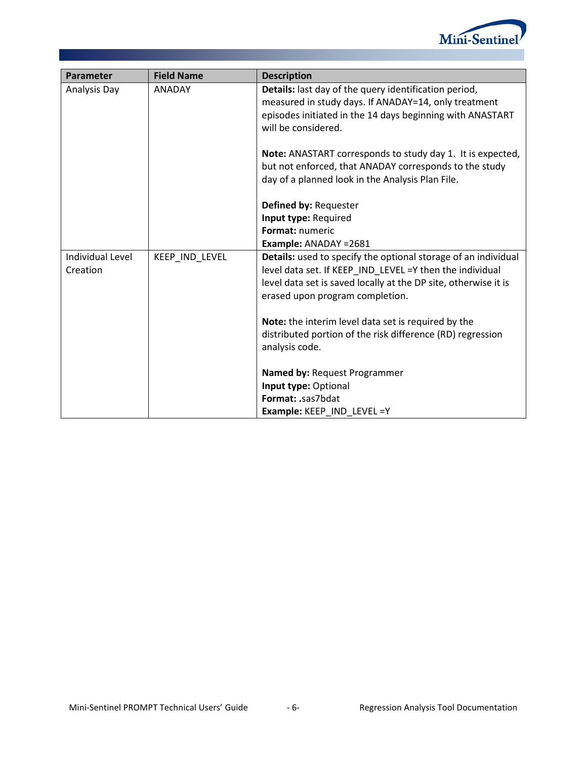

| Parameter        | <b>Field Name</b> | <b>Description</b>                                              |
|------------------|-------------------|-----------------------------------------------------------------|
| Analysis Day     | <b>ANADAY</b>     | Details: last day of the query identification period,           |
|                  |                   | measured in study days. If ANADAY=14, only treatment            |
|                  |                   | episodes initiated in the 14 days beginning with ANASTART       |
|                  |                   | will be considered.                                             |
|                  |                   | Note: ANASTART corresponds to study day 1. It is expected,      |
|                  |                   | but not enforced, that ANADAY corresponds to the study          |
|                  |                   | day of a planned look in the Analysis Plan File.                |
|                  |                   | Defined by: Requester                                           |
|                  |                   | Input type: Required                                            |
|                  |                   | Format: numeric                                                 |
|                  |                   | Example: ANADAY = 2681                                          |
| Individual Level | KEEP_IND_LEVEL    | Details: used to specify the optional storage of an individual  |
| Creation         |                   | level data set. If KEEP IND LEVEL =Y then the individual        |
|                  |                   | level data set is saved locally at the DP site, otherwise it is |
|                  |                   | erased upon program completion.                                 |
|                  |                   | Note: the interim level data set is required by the             |
|                  |                   | distributed portion of the risk difference (RD) regression      |
|                  |                   | analysis code.                                                  |
|                  |                   |                                                                 |
|                  |                   | Named by: Request Programmer                                    |
|                  |                   | Input type: Optional                                            |
|                  |                   | Format: .sas7bdat                                               |
|                  |                   | Example: KEEP IND LEVEL =Y                                      |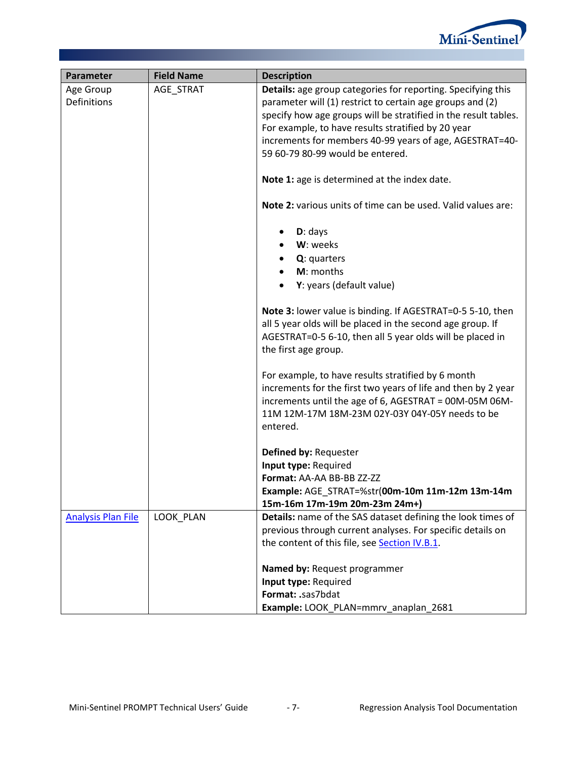

| Parameter                 | <b>Field Name</b> | <b>Description</b>                                              |
|---------------------------|-------------------|-----------------------------------------------------------------|
| Age Group                 | AGE_STRAT         | Details: age group categories for reporting. Specifying this    |
| <b>Definitions</b>        |                   | parameter will (1) restrict to certain age groups and (2)       |
|                           |                   | specify how age groups will be stratified in the result tables. |
|                           |                   | For example, to have results stratified by 20 year              |
|                           |                   | increments for members 40-99 years of age, AGESTRAT=40-         |
|                           |                   | 59 60-79 80-99 would be entered.                                |
|                           |                   | Note 1: age is determined at the index date.                    |
|                           |                   | Note 2: various units of time can be used. Valid values are:    |
|                           |                   | $D:$ days                                                       |
|                           |                   | W: weeks                                                        |
|                           |                   | Q: quarters                                                     |
|                           |                   | M: months                                                       |
|                           |                   | Y: years (default value)                                        |
|                           |                   | Note 3: lower value is binding. If AGESTRAT=0-5 5-10, then      |
|                           |                   | all 5 year olds will be placed in the second age group. If      |
|                           |                   | AGESTRAT=0-5 6-10, then all 5 year olds will be placed in       |
|                           |                   | the first age group.                                            |
|                           |                   | For example, to have results stratified by 6 month              |
|                           |                   | increments for the first two years of life and then by 2 year   |
|                           |                   | increments until the age of 6, AGESTRAT = 00M-05M 06M-          |
|                           |                   | 11M 12M-17M 18M-23M 02Y-03Y 04Y-05Y needs to be                 |
|                           |                   | entered.                                                        |
|                           |                   | Defined by: Requester                                           |
|                           |                   | Input type: Required                                            |
|                           |                   | Format: AA-AA BB-BB ZZ-ZZ                                       |
|                           |                   | Example: AGE_STRAT=%str(00m-10m 11m-12m 13m-14m                 |
|                           |                   | 15m-16m 17m-19m 20m-23m 24m+)                                   |
| <b>Analysis Plan File</b> | LOOK PLAN         | Details: name of the SAS dataset defining the look times of     |
|                           |                   | previous through current analyses. For specific details on      |
|                           |                   | the content of this file, see Section IV.B.1.                   |
|                           |                   | Named by: Request programmer                                    |
|                           |                   | Input type: Required                                            |
|                           |                   | Format: .sas7bdat                                               |
|                           |                   | Example: LOOK_PLAN=mmrv_anaplan_2681                            |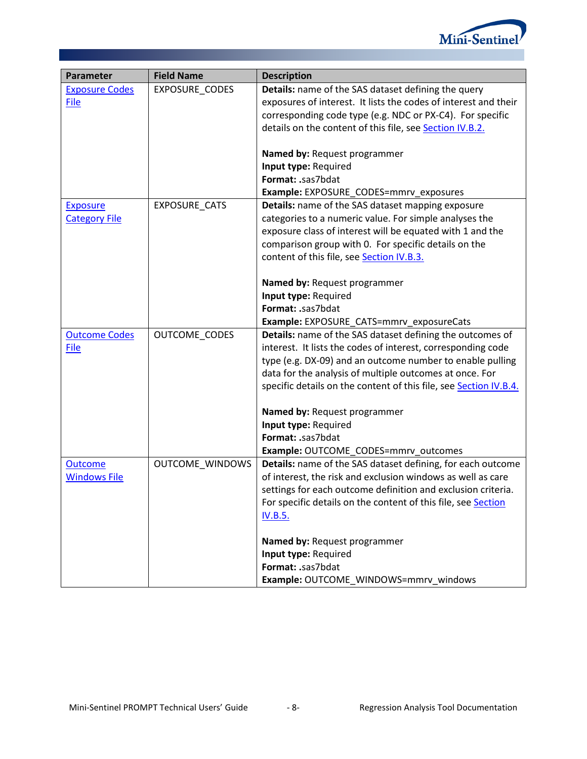

| Parameter             | <b>Field Name</b>      | <b>Description</b>                                                |
|-----------------------|------------------------|-------------------------------------------------------------------|
| <b>Exposure Codes</b> | EXPOSURE_CODES         | <b>Details:</b> name of the SAS dataset defining the query        |
| File                  |                        | exposures of interest. It lists the codes of interest and their   |
|                       |                        | corresponding code type (e.g. NDC or PX-C4). For specific         |
|                       |                        | details on the content of this file, see Section IV.B.2.          |
|                       |                        |                                                                   |
|                       |                        | Named by: Request programmer                                      |
|                       |                        | Input type: Required                                              |
|                       |                        | Format: .sas7bdat                                                 |
|                       |                        | Example: EXPOSURE_CODES=mmrv_exposures                            |
| <b>Exposure</b>       | EXPOSURE_CATS          | <b>Details:</b> name of the SAS dataset mapping exposure          |
| <b>Category File</b>  |                        | categories to a numeric value. For simple analyses the            |
|                       |                        | exposure class of interest will be equated with 1 and the         |
|                       |                        | comparison group with 0. For specific details on the              |
|                       |                        | content of this file, see Section IV.B.3.                         |
|                       |                        |                                                                   |
|                       |                        | Named by: Request programmer                                      |
|                       |                        | Input type: Required                                              |
|                       |                        | Format: .sas7bdat                                                 |
|                       |                        | Example: EXPOSURE_CATS=mmrv_exposureCats                          |
| <b>Outcome Codes</b>  | OUTCOME_CODES          | Details: name of the SAS dataset defining the outcomes of         |
| File                  |                        | interest. It lists the codes of interest, corresponding code      |
|                       |                        | type (e.g. DX-09) and an outcome number to enable pulling         |
|                       |                        | data for the analysis of multiple outcomes at once. For           |
|                       |                        | specific details on the content of this file, see Section IV.B.4. |
|                       |                        | Named by: Request programmer                                      |
|                       |                        | Input type: Required                                              |
|                       |                        | Format: .sas7bdat                                                 |
|                       |                        | Example: OUTCOME_CODES=mmrv_outcomes                              |
| <b>Outcome</b>        | <b>OUTCOME WINDOWS</b> | Details: name of the SAS dataset defining, for each outcome       |
| <b>Windows File</b>   |                        | of interest, the risk and exclusion windows as well as care       |
|                       |                        | settings for each outcome definition and exclusion criteria.      |
|                       |                        | For specific details on the content of this file, see Section     |
|                       |                        | <b>IV.B.5.</b>                                                    |
|                       |                        | Named by: Request programmer                                      |
|                       |                        | Input type: Required                                              |
|                       |                        | Format: .sas7bdat                                                 |
|                       |                        | Example: OUTCOME_WINDOWS=mmrv_windows                             |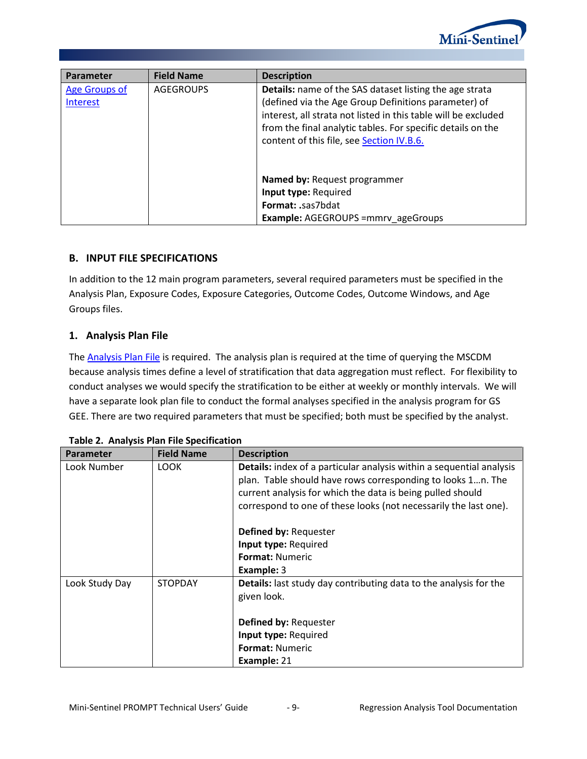

| Parameter                        | <b>Field Name</b> | <b>Description</b>                                                                                                                                                                                                                                                                                   |
|----------------------------------|-------------------|------------------------------------------------------------------------------------------------------------------------------------------------------------------------------------------------------------------------------------------------------------------------------------------------------|
| <b>Age Groups of</b><br>Interest | <b>AGEGROUPS</b>  | <b>Details:</b> name of the SAS dataset listing the age strata<br>(defined via the Age Group Definitions parameter) of<br>interest, all strata not listed in this table will be excluded<br>from the final analytic tables. For specific details on the<br>content of this file, see Section IV.B.6. |
|                                  |                   | <b>Named by: Request programmer</b><br>Input type: Required<br><b>Format: .sas7bdat</b><br><b>Example: AGEGROUPS = mmrv ageGroups</b>                                                                                                                                                                |

# **B. INPUT FILE SPECIFICATIONS**

In addition to the 12 main program parameters, several required parameters must be specified in the Analysis Plan, Exposure Codes, Exposure Categories, Outcome Codes, Outcome Windows, and Age Groups files.

## <span id="page-10-0"></span>**1. Analysis Plan File**

The **Analysis Plan File** is required. The analysis plan is required at the time of querying the MSCDM because analysis times define a level of stratification that data aggregation must reflect. For flexibility to conduct analyses we would specify the stratification to be either at weekly or monthly intervals. We will have a separate look plan file to conduct the formal analyses specified in the analysis program for GS GEE. There are two required parameters that must be specified; both must be specified by the analyst.

| Table 2. Analysis Flam The Specification |                   |                                                                                                                                                                                                                                                                       |  |
|------------------------------------------|-------------------|-----------------------------------------------------------------------------------------------------------------------------------------------------------------------------------------------------------------------------------------------------------------------|--|
| <b>Parameter</b>                         | <b>Field Name</b> | <b>Description</b>                                                                                                                                                                                                                                                    |  |
| Look Number                              | LOOK              | Details: index of a particular analysis within a sequential analysis<br>plan. Table should have rows corresponding to looks 1n. The<br>current analysis for which the data is being pulled should<br>correspond to one of these looks (not necessarily the last one). |  |
|                                          |                   | Defined by: Requester                                                                                                                                                                                                                                                 |  |
|                                          |                   | Input type: Required                                                                                                                                                                                                                                                  |  |
|                                          |                   | <b>Format: Numeric</b>                                                                                                                                                                                                                                                |  |
|                                          |                   | <b>Example: 3</b>                                                                                                                                                                                                                                                     |  |
| Look Study Day                           | <b>STOPDAY</b>    | <b>Details:</b> last study day contributing data to the analysis for the<br>given look.                                                                                                                                                                               |  |
|                                          |                   | Defined by: Requester                                                                                                                                                                                                                                                 |  |
|                                          |                   | Input type: Required                                                                                                                                                                                                                                                  |  |
|                                          |                   | <b>Format: Numeric</b>                                                                                                                                                                                                                                                |  |
|                                          |                   | Example: 21                                                                                                                                                                                                                                                           |  |

|  |  |  | Table 2. Analysis Plan File Specification |
|--|--|--|-------------------------------------------|
|--|--|--|-------------------------------------------|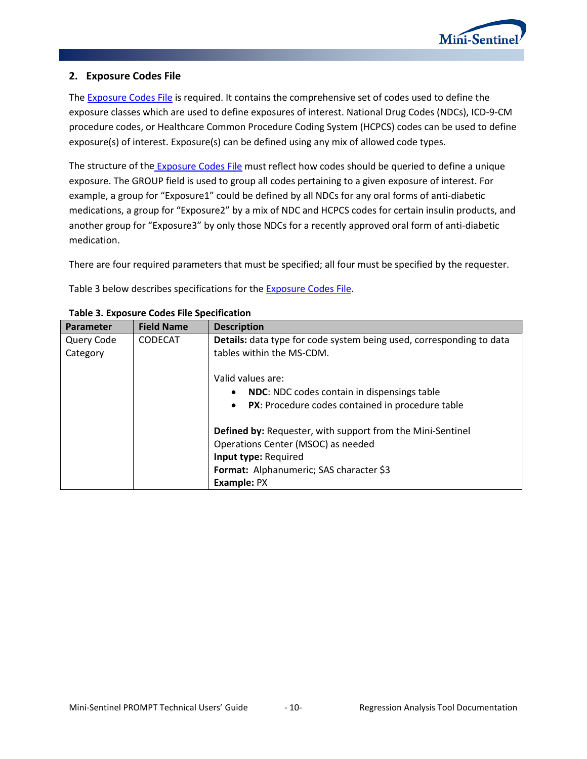

#### <span id="page-11-0"></span>**2. Exposure Codes File**

The **Exposure Codes File is required.** It contains the comprehensive set of codes used to define the exposure classes which are used to define exposures of interest. National Drug Codes (NDCs), ICD-9-CM procedure codes, or Healthcare Common Procedure Coding System (HCPCS) codes can be used to define exposure(s) of interest. Exposure(s) can be defined using any mix of allowed code types.

The structure of the **[Exposure Codes File](#page-11-0)** must reflect how codes should be queried to define a unique exposure. The GROUP field is used to group all codes pertaining to a given exposure of interest. For example, a group for "Exposure1" could be defined by all NDCs for any oral forms of anti-diabetic medications, a group for "Exposure2" by a mix of NDC and HCPCS codes for certain insulin products, and another group for "Exposure3" by only those NDCs for a recently approved oral form of anti-diabetic medication.

There are four required parameters that must be specified; all four must be specified by the requester.

<span id="page-11-1"></span>[Table 3](#page-11-1) below describes specifications for the **Exposure Codes File**.

| Parameter  | <b>Field Name</b> | <b>Description</b>                                                   |
|------------|-------------------|----------------------------------------------------------------------|
| Query Code | <b>CODECAT</b>    | Details: data type for code system being used, corresponding to data |
| Category   |                   | tables within the MS-CDM.                                            |
|            |                   | Valid values are:                                                    |
|            |                   | NDC: NDC codes contain in dispensings table<br>$\bullet$             |
|            |                   | PX: Procedure codes contained in procedure table<br>$\bullet$        |
|            |                   | <b>Defined by: Requester, with support from the Mini-Sentinel</b>    |
|            |                   | Operations Center (MSOC) as needed                                   |
|            |                   | Input type: Required                                                 |
|            |                   | Format: Alphanumeric; SAS character \$3                              |
|            |                   | Example: PX                                                          |

#### **Table 3. Exposure Codes File Specification**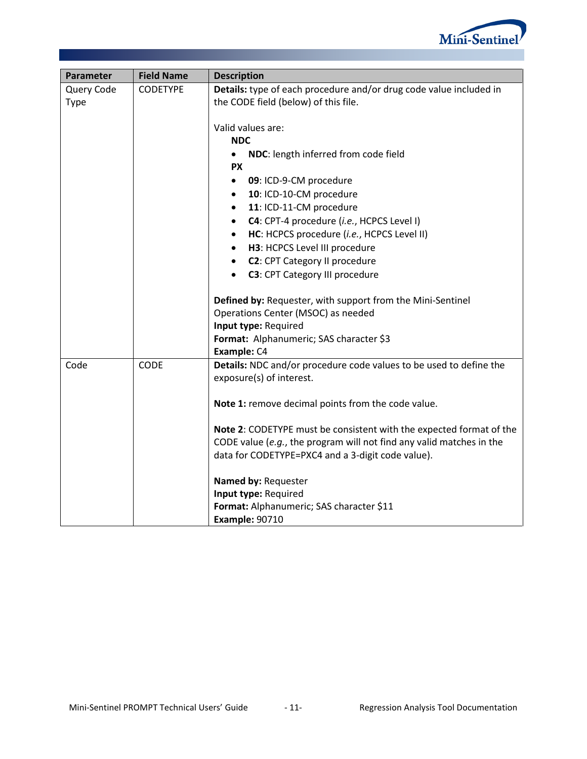

| Parameter   | <b>Field Name</b> | <b>Description</b>                                                   |
|-------------|-------------------|----------------------------------------------------------------------|
| Query Code  | <b>CODETYPE</b>   | Details: type of each procedure and/or drug code value included in   |
| <b>Type</b> |                   | the CODE field (below) of this file.                                 |
|             |                   |                                                                      |
|             |                   | Valid values are:                                                    |
|             |                   | <b>NDC</b>                                                           |
|             |                   | NDC: length inferred from code field                                 |
|             |                   | <b>PX</b>                                                            |
|             |                   | 09: ICD-9-CM procedure<br>$\bullet$                                  |
|             |                   | 10: ICD-10-CM procedure<br>$\bullet$                                 |
|             |                   | 11: ICD-11-CM procedure<br>$\bullet$                                 |
|             |                   | C4: CPT-4 procedure (i.e., HCPCS Level I)<br>٠                       |
|             |                   | HC: HCPCS procedure (i.e., HCPCS Level II)<br>$\bullet$              |
|             |                   | H3: HCPCS Level III procedure<br>$\bullet$                           |
|             |                   | C2: CPT Category II procedure<br>$\bullet$                           |
|             |                   | C3: CPT Category III procedure<br>$\bullet$                          |
|             |                   | Defined by: Requester, with support from the Mini-Sentinel           |
|             |                   | Operations Center (MSOC) as needed                                   |
|             |                   | Input type: Required                                                 |
|             |                   | Format: Alphanumeric; SAS character \$3                              |
|             |                   | Example: C4                                                          |
| Code        | CODE              | Details: NDC and/or procedure code values to be used to define the   |
|             |                   | exposure(s) of interest.                                             |
|             |                   |                                                                      |
|             |                   | Note 1: remove decimal points from the code value.                   |
|             |                   | Note 2: CODETYPE must be consistent with the expected format of the  |
|             |                   | CODE value (e.g., the program will not find any valid matches in the |
|             |                   | data for CODETYPE=PXC4 and a 3-digit code value).                    |
|             |                   | Named by: Requester                                                  |
|             |                   | Input type: Required                                                 |
|             |                   | Format: Alphanumeric; SAS character \$11                             |
|             |                   | <b>Example: 90710</b>                                                |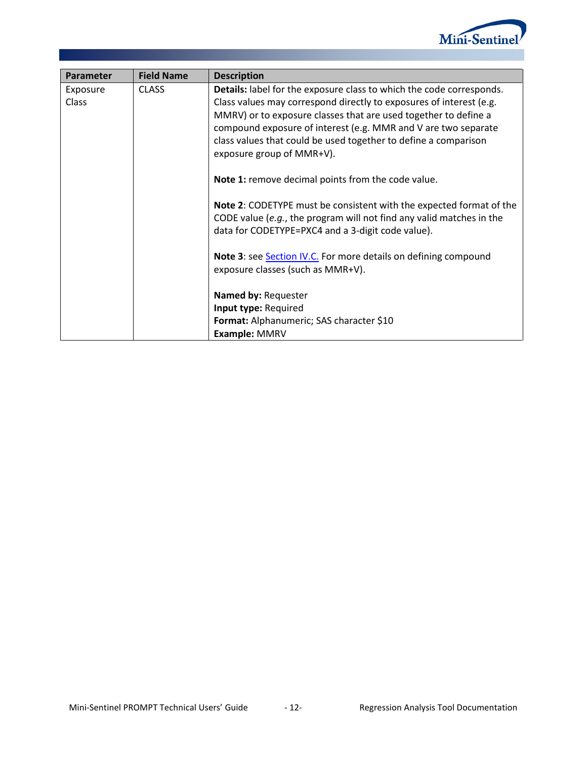

<span id="page-13-0"></span>

| Parameter    | <b>Field Name</b> | <b>Description</b>                                                                                                                                 |
|--------------|-------------------|----------------------------------------------------------------------------------------------------------------------------------------------------|
| Exposure     | <b>CLASS</b>      | Details: label for the exposure class to which the code corresponds.                                                                               |
| <b>Class</b> |                   | Class values may correspond directly to exposures of interest (e.g.<br>MMRV) or to exposure classes that are used together to define a             |
|              |                   | compound exposure of interest (e.g. MMR and V are two separate                                                                                     |
|              |                   | class values that could be used together to define a comparison                                                                                    |
|              |                   | exposure group of MMR+V).                                                                                                                          |
|              |                   | Note 1: remove decimal points from the code value.                                                                                                 |
|              |                   |                                                                                                                                                    |
|              |                   | <b>Note 2: CODETYPE must be consistent with the expected format of the</b><br>CODE value (e.g., the program will not find any valid matches in the |
|              |                   | data for CODETYPE=PXC4 and a 3-digit code value).                                                                                                  |
|              |                   |                                                                                                                                                    |
|              |                   | Note 3: see Section IV.C. For more details on defining compound                                                                                    |
|              |                   | exposure classes (such as MMR+V).                                                                                                                  |
|              |                   | Named by: Requester                                                                                                                                |
|              |                   | Input type: Required                                                                                                                               |
|              |                   | Format: Alphanumeric; SAS character \$10                                                                                                           |
|              |                   | Example: MMRV                                                                                                                                      |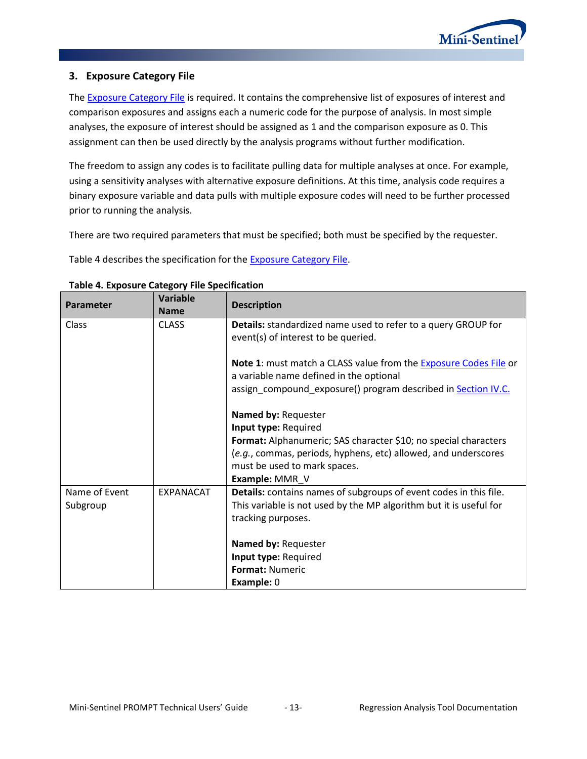

## **3. Exposure Category File**

The **Exposure Category File** is required. It contains the comprehensive list of exposures of interest and comparison exposures and assigns each a numeric code for the purpose of analysis. In most simple analyses, the exposure of interest should be assigned as 1 and the comparison exposure as 0. This assignment can then be used directly by the analysis programs without further modification.

The freedom to assign any codes is to facilitate pulling data for multiple analyses at once. For example, using a sensitivity analyses with alternative exposure definitions. At this time, analysis code requires a binary exposure variable and data pulls with multiple exposure codes will need to be further processed prior to running the analysis.

There are two required parameters that must be specified; both must be specified by the requester.

[Table 4](#page-14-1) describes the specification for the [Exposure Category](#page-13-0) File.

<span id="page-14-0"></span>

|                  | <b>Variable</b> |                                                                         |
|------------------|-----------------|-------------------------------------------------------------------------|
| <b>Parameter</b> | <b>Name</b>     | <b>Description</b>                                                      |
| Class            | <b>CLASS</b>    | Details: standardized name used to refer to a query GROUP for           |
|                  |                 | event(s) of interest to be queried.                                     |
|                  |                 | <b>Note 1:</b> must match a CLASS value from the Exposure Codes File or |
|                  |                 | a variable name defined in the optional                                 |
|                  |                 | assign_compound_exposure() program described in Section IV.C.           |
|                  |                 | Named by: Requester                                                     |
|                  |                 | Input type: Required                                                    |
|                  |                 | Format: Alphanumeric; SAS character \$10; no special characters         |
|                  |                 | (e.g., commas, periods, hyphens, etc) allowed, and underscores          |
|                  |                 | must be used to mark spaces.                                            |
|                  |                 | Example: MMR_V                                                          |
| Name of Event    | EXPANACAT       | Details: contains names of subgroups of event codes in this file.       |
| Subgroup         |                 | This variable is not used by the MP algorithm but it is useful for      |
|                  |                 | tracking purposes.                                                      |
|                  |                 | Named by: Requester                                                     |
|                  |                 | Input type: Required                                                    |
|                  |                 | <b>Format: Numeric</b>                                                  |
|                  |                 | <b>Example: 0</b>                                                       |

<span id="page-14-1"></span>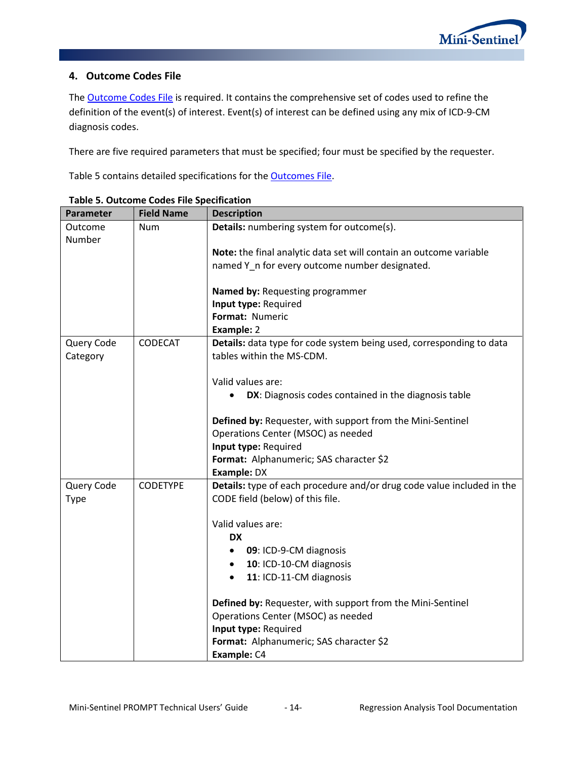# **4. Outcome Codes File**

The **Outcome Codes File** is required. It contains the comprehensive set of codes used to refine the definition of the event(s) of interest. Event(s) of interest can be defined using any mix of ICD-9-CM diagnosis codes.

There are five required parameters that must be specified; four must be specified by the requester.

[Table 5](#page-15-0) contains detailed specifications for the [Outcomes](#page-14-0) File.

| Parameter  | <b>Field Name</b> | <b>Description</b>                                                                               |
|------------|-------------------|--------------------------------------------------------------------------------------------------|
| Outcome    | <b>Num</b>        | Details: numbering system for outcome(s).                                                        |
| Number     |                   |                                                                                                  |
|            |                   | Note: the final analytic data set will contain an outcome variable                               |
|            |                   | named Y_n for every outcome number designated.                                                   |
|            |                   | Named by: Requesting programmer                                                                  |
|            |                   | Input type: Required                                                                             |
|            |                   | Format: Numeric                                                                                  |
|            |                   | Example: 2                                                                                       |
| Query Code | <b>CODECAT</b>    | Details: data type for code system being used, corresponding to data                             |
| Category   |                   | tables within the MS-CDM.                                                                        |
|            |                   |                                                                                                  |
|            |                   | Valid values are:                                                                                |
|            |                   | DX: Diagnosis codes contained in the diagnosis table                                             |
|            |                   |                                                                                                  |
|            |                   | Defined by: Requester, with support from the Mini-Sentinel<br>Operations Center (MSOC) as needed |
|            |                   | Input type: Required                                                                             |
|            |                   | Format: Alphanumeric; SAS character \$2                                                          |
|            |                   | <b>Example: DX</b>                                                                               |
| Query Code | <b>CODETYPE</b>   | Details: type of each procedure and/or drug code value included in the                           |
| Type       |                   | CODE field (below) of this file.                                                                 |
|            |                   |                                                                                                  |
|            |                   | Valid values are:                                                                                |
|            |                   | <b>DX</b>                                                                                        |
|            |                   | 09: ICD-9-CM diagnosis<br>$\bullet$                                                              |
|            |                   | 10: ICD-10-CM diagnosis                                                                          |
|            |                   | 11: ICD-11-CM diagnosis<br>$\bullet$                                                             |
|            |                   | Defined by: Requester, with support from the Mini-Sentinel                                       |
|            |                   | Operations Center (MSOC) as needed                                                               |
|            |                   | Input type: Required                                                                             |
|            |                   | Format: Alphanumeric; SAS character \$2                                                          |
|            |                   | Example: C4                                                                                      |

<span id="page-15-0"></span>**Table 5. Outcome Codes File Specification**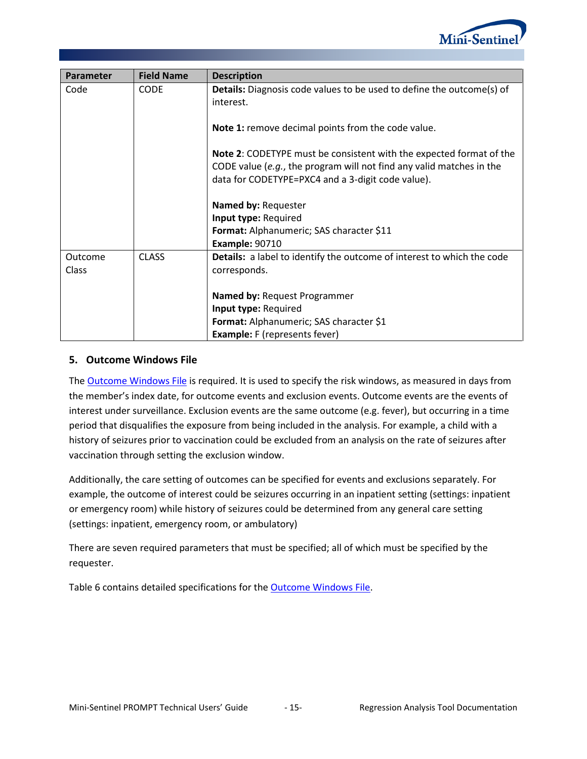

| Parameter | <b>Field Name</b> | <b>Description</b>                                                                                                                                                                               |
|-----------|-------------------|--------------------------------------------------------------------------------------------------------------------------------------------------------------------------------------------------|
| Code      | <b>CODE</b>       | <b>Details:</b> Diagnosis code values to be used to define the outcome(s) of<br>interest.                                                                                                        |
|           |                   | Note 1: remove decimal points from the code value.                                                                                                                                               |
|           |                   | Note 2: CODETYPE must be consistent with the expected format of the<br>CODE value (e.g., the program will not find any valid matches in the<br>data for CODETYPE=PXC4 and a 3-digit code value). |
|           |                   | Named by: Requester                                                                                                                                                                              |
|           |                   | Input type: Required                                                                                                                                                                             |
|           |                   | Format: Alphanumeric; SAS character \$11                                                                                                                                                         |
|           |                   | <b>Example: 90710</b>                                                                                                                                                                            |
| Outcome   | <b>CLASS</b>      | Details: a label to identify the outcome of interest to which the code                                                                                                                           |
| Class     |                   | corresponds.                                                                                                                                                                                     |
|           |                   | <b>Named by: Request Programmer</b>                                                                                                                                                              |
|           |                   | Input type: Required                                                                                                                                                                             |
|           |                   | Format: Alphanumeric; SAS character \$1                                                                                                                                                          |
|           |                   | <b>Example:</b> F (represents fever)                                                                                                                                                             |

#### <span id="page-16-0"></span>**5. Outcome Windows File**

The [Outcome Windows File](#page-16-0) is required. It is used to specify the risk windows, as measured in days from the member's index date, for outcome events and exclusion events. Outcome events are the events of interest under surveillance. Exclusion events are the same outcome (e.g. fever), but occurring in a time period that disqualifies the exposure from being included in the analysis. For example, a child with a history of seizures prior to vaccination could be excluded from an analysis on the rate of seizures after vaccination through setting the exclusion window.

Additionally, the care setting of outcomes can be specified for events and exclusions separately. For example, the outcome of interest could be seizures occurring in an inpatient setting (settings: inpatient or emergency room) while history of seizures could be determined from any general care setting (settings: inpatient, emergency room, or ambulatory)

There are seven required parameters that must be specified; all of which must be specified by the requester.

<span id="page-16-1"></span>[Table 6](#page-16-1) contains detailed specifications for the [Outcome Windows File.](#page-16-0)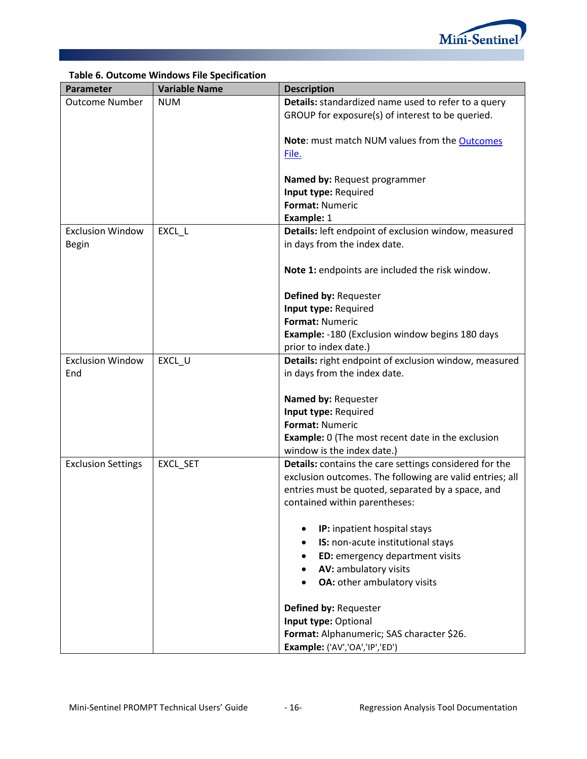

|                           | Table 6. Outcome windows File Specification |                                                          |
|---------------------------|---------------------------------------------|----------------------------------------------------------|
| Parameter                 | <b>Variable Name</b>                        | <b>Description</b>                                       |
| <b>Outcome Number</b>     | <b>NUM</b>                                  | Details: standardized name used to refer to a query      |
|                           |                                             | GROUP for exposure(s) of interest to be queried.         |
|                           |                                             |                                                          |
|                           |                                             | Note: must match NUM values from the Outcomes            |
|                           |                                             | File.                                                    |
|                           |                                             |                                                          |
|                           |                                             | Named by: Request programmer                             |
|                           |                                             | Input type: Required                                     |
|                           |                                             | <b>Format: Numeric</b>                                   |
|                           |                                             | Example: 1                                               |
| <b>Exclusion Window</b>   | EXCL_L                                      | Details: left endpoint of exclusion window, measured     |
| <b>Begin</b>              |                                             | in days from the index date.                             |
|                           |                                             |                                                          |
|                           |                                             | Note 1: endpoints are included the risk window.          |
|                           |                                             |                                                          |
|                           |                                             | Defined by: Requester                                    |
|                           |                                             |                                                          |
|                           |                                             | Input type: Required                                     |
|                           |                                             | Format: Numeric                                          |
|                           |                                             | <b>Example: -180 (Exclusion window begins 180 days</b>   |
|                           |                                             | prior to index date.)                                    |
| <b>Exclusion Window</b>   | EXCL_U                                      | Details: right endpoint of exclusion window, measured    |
| End                       |                                             | in days from the index date.                             |
|                           |                                             |                                                          |
|                           |                                             | Named by: Requester                                      |
|                           |                                             | Input type: Required                                     |
|                           |                                             | Format: Numeric                                          |
|                           |                                             | <b>Example:</b> 0 (The most recent date in the exclusion |
|                           |                                             | window is the index date.)                               |
| <b>Exclusion Settings</b> | EXCL_SET                                    | Details: contains the care settings considered for the   |
|                           |                                             | exclusion outcomes. The following are valid entries; all |
|                           |                                             | entries must be quoted, separated by a space, and        |
|                           |                                             | contained within parentheses:                            |
|                           |                                             |                                                          |
|                           |                                             | IP: inpatient hospital stays                             |
|                           |                                             |                                                          |
|                           |                                             | IS: non-acute institutional stays<br>٠                   |
|                           |                                             | ED: emergency department visits                          |
|                           |                                             | AV: ambulatory visits                                    |
|                           |                                             | OA: other ambulatory visits                              |
|                           |                                             |                                                          |
|                           |                                             | Defined by: Requester                                    |
|                           |                                             | Input type: Optional                                     |
|                           |                                             | Format: Alphanumeric; SAS character \$26.                |
|                           |                                             | Example: ('AV','OA','IP','ED')                           |

# **Table 6. Outcome Windows File Specification**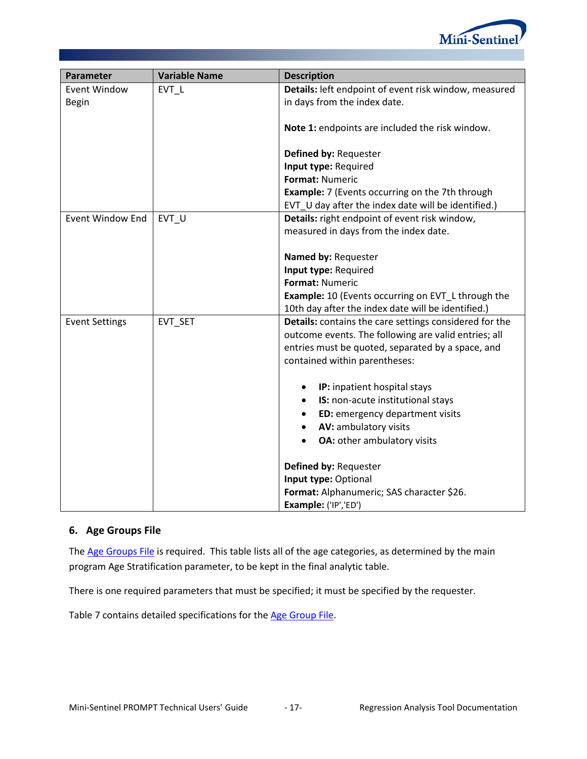

| <b>Parameter</b>        | <b>Variable Name</b> | <b>Description</b>                                        |
|-------------------------|----------------------|-----------------------------------------------------------|
| <b>Event Window</b>     | EVT L                | Details: left endpoint of event risk window, measured     |
| <b>Begin</b>            |                      | in days from the index date.                              |
|                         |                      | Note 1: endpoints are included the risk window.           |
|                         |                      | Defined by: Requester                                     |
|                         |                      | Input type: Required                                      |
|                         |                      | Format: Numeric                                           |
|                         |                      | <b>Example:</b> 7 (Events occurring on the 7th through    |
|                         |                      | EVT_U day after the index date will be identified.)       |
| <b>Event Window End</b> | EVT U                | Details: right endpoint of event risk window,             |
|                         |                      | measured in days from the index date.                     |
|                         |                      |                                                           |
|                         |                      | Named by: Requester<br>Input type: Required               |
|                         |                      | Format: Numeric                                           |
|                         |                      | <b>Example:</b> 10 (Events occurring on EVT_L through the |
|                         |                      | 10th day after the index date will be identified.)        |
| <b>Event Settings</b>   | EVT_SET              | Details: contains the care settings considered for the    |
|                         |                      | outcome events. The following are valid entries; all      |
|                         |                      | entries must be quoted, separated by a space, and         |
|                         |                      | contained within parentheses:                             |
|                         |                      |                                                           |
|                         |                      | IP: inpatient hospital stays                              |
|                         |                      | IS: non-acute institutional stays<br>$\bullet$            |
|                         |                      | ED: emergency department visits<br>$\bullet$              |
|                         |                      | AV: ambulatory visits<br>$\bullet$                        |
|                         |                      | OA: other ambulatory visits                               |
|                         |                      | Defined by: Requester                                     |
|                         |                      | Input type: Optional                                      |
|                         |                      | Format: Alphanumeric; SAS character \$26.                 |
|                         |                      | Example: ('IP','ED')                                      |

## <span id="page-18-0"></span>**6. Age Groups File**

The [Age Groups File](#page-18-0) is required. This table lists all of the age categories, as determined by the main program Age Stratification parameter, to be kept in the final analytic table.

There is one required parameters that must be specified; it must be specified by the requester.

<span id="page-18-1"></span>[Table 7](#page-18-1) contains detailed specifications for the [Age Group](#page-18-0) File.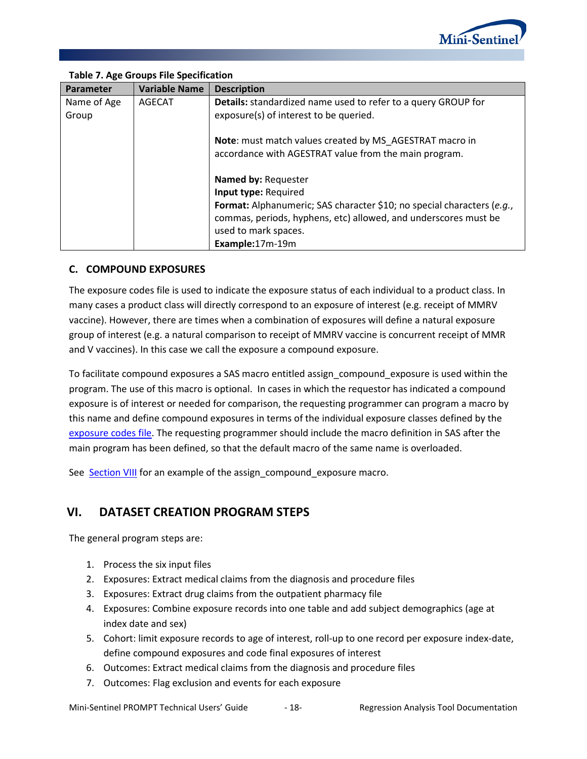

| Parameter   | <b>Variable Name</b> | <b>Description</b>                                                            |
|-------------|----------------------|-------------------------------------------------------------------------------|
| Name of Age | AGECAT               | <b>Details:</b> standardized name used to refer to a query GROUP for          |
| Group       |                      | exposure(s) of interest to be queried.                                        |
|             |                      | Note: must match values created by MS AGESTRAT macro in                       |
|             |                      | accordance with AGESTRAT value from the main program.                         |
|             |                      | Named by: Requester                                                           |
|             |                      | Input type: Required                                                          |
|             |                      | <b>Format:</b> Alphanumeric; SAS character \$10; no special characters (e.g., |
|             |                      | commas, periods, hyphens, etc) allowed, and underscores must be               |
|             |                      | used to mark spaces.                                                          |
|             |                      | Example:17m-19m                                                               |

# **Table 7. Age Groups File Specification**

## <span id="page-19-0"></span>**C. COMPOUND EXPOSURES**

The exposure codes file is used to indicate the exposure status of each individual to a product class. In many cases a product class will directly correspond to an exposure of interest (e.g. receipt of MMRV vaccine). However, there are times when a combination of exposures will define a natural exposure group of interest (e.g. a natural comparison to receipt of MMRV vaccine is concurrent receipt of MMR and V vaccines). In this case we call the exposure a compound exposure.

To facilitate compound exposures a SAS macro entitled assign\_compound\_exposure is used within the program. The use of this macro is optional. In cases in which the requestor has indicated a compound exposure is of interest or needed for comparison, the requesting programmer can program a macro by this name and define compound exposures in terms of the individual exposure classes defined by the [exposure codes file.](#page-11-0) The requesting programmer should include the macro definition in SAS after the main program has been defined, so that the default macro of the same name is overloaded.

See [Section VIII](#page-22-0) for an example of the assign\_compound\_exposure macro.

# **VI. DATASET CREATION PROGRAM STEPS**

The general program steps are:

- 1. Process the six input files
- 2. Exposures: Extract medical claims from the diagnosis and procedure files
- 3. Exposures: Extract drug claims from the outpatient pharmacy file
- 4. Exposures: Combine exposure records into one table and add subject demographics (age at index date and sex)
- 5. Cohort: limit exposure records to age of interest, roll-up to one record per exposure index-date, define compound exposures and code final exposures of interest
- 6. Outcomes: Extract medical claims from the diagnosis and procedure files
- 7. Outcomes: Flag exclusion and events for each exposure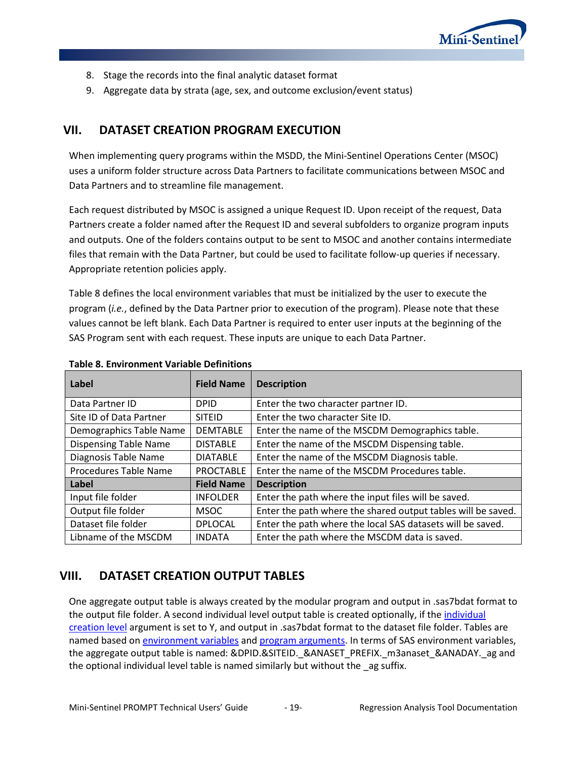

- 8. Stage the records into the final analytic dataset format
- <span id="page-20-2"></span>9. Aggregate data by strata (age, sex, and outcome exclusion/event status)

# **VII. DATASET CREATION PROGRAM EXECUTION**

When implementing query programs within the MSDD, the Mini-Sentinel Operations Center (MSOC) uses a uniform folder structure across Data Partners to facilitate communications between MSOC and Data Partners and to streamline file management.

Each request distributed by MSOC is assigned a unique Request ID. Upon receipt of the request, Data Partners create a folder named after the Request ID and several subfolders to organize program inputs and outputs. One of the folders contains output to be sent to MSOC and another contains intermediate files that remain with the Data Partner, but could be used to facilitate follow-up queries if necessary. Appropriate retention policies apply.

[Table 8](#page-20-1) defines the local environment variables that must be initialized by the user to execute the program (*i.e.*, defined by the Data Partner prior to execution of the program). Please note that these values cannot be left blank. Each Data Partner is required to enter user inputs at the beginning of the SAS Program sent with each request. These inputs are unique to each Data Partner.

| Label                        | <b>Field Name</b> | <b>Description</b>                                           |
|------------------------------|-------------------|--------------------------------------------------------------|
| Data Partner ID              | <b>DPID</b>       | Enter the two character partner ID.                          |
| Site ID of Data Partner      | <b>SITEID</b>     | Enter the two character Site ID.                             |
| Demographics Table Name      | <b>DEMTABLE</b>   | Enter the name of the MSCDM Demographics table.              |
| <b>Dispensing Table Name</b> | <b>DISTABLE</b>   | Enter the name of the MSCDM Dispensing table.                |
| Diagnosis Table Name         | <b>DIATABLE</b>   | Enter the name of the MSCDM Diagnosis table.                 |
| Procedures Table Name        | <b>PROCTABLE</b>  | Enter the name of the MSCDM Procedures table.                |
| Label                        | <b>Field Name</b> | <b>Description</b>                                           |
| Input file folder            | <b>INFOLDER</b>   | Enter the path where the input files will be saved.          |
| Output file folder           | <b>MSOC</b>       | Enter the path where the shared output tables will be saved. |
| Dataset file folder          | <b>DPLOCAL</b>    | Enter the path where the local SAS datasets will be saved.   |
| Libname of the MSCDM         | <b>INDATA</b>     | Enter the path where the MSCDM data is saved.                |

#### <span id="page-20-1"></span>**Table 8. Environment Variable Definitions**

# <span id="page-20-0"></span>**VIII. DATASET CREATION OUTPUT TABLES**

One aggregate output table is always created by the modular program and output in .sas7bdat format to the output file folder. A second [individual](#page-6-1) level output table is created optionally, if the individual [creation level](#page-6-1) argument is set to Y, and output in .sas7bdat format to the dataset file folder. Tables are named based o[n environment variables](#page-20-2) and [program arguments.](#page-6-1) In terms of SAS environment variables, the aggregate output table is named: &DPID.&SITEID.\_&ANASET\_PREFIX.\_m3anaset\_&ANADAY.\_ag and the optional individual level table is named similarly but without the \_ag suffix.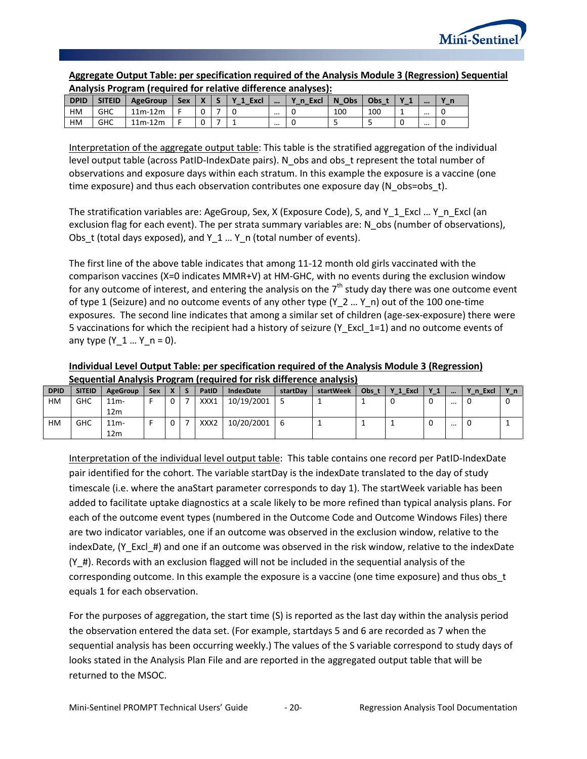

|             | Analysis Program (required for relative difference analyses): |                 |     |  |  |        |          |      |       |     |                         |  |
|-------------|---------------------------------------------------------------|-----------------|-----|--|--|--------|----------|------|-------|-----|-------------------------|--|
| <b>DPID</b> | <b>SITEID</b>                                                 | <b>AgeGroup</b> | Sex |  |  | 1 Excl | $\cdots$ | Excl | N Obs | Obs | $\bullet\bullet\bullet$ |  |
| НM          | GHC                                                           | $11m-12m$       |     |  |  |        | $\cdots$ |      | 100   | 100 |                         |  |
| НM          | GHC                                                           | $11m-12m$       |     |  |  |        | $\cdots$ |      |       |     | $\cdots$                |  |

# **Aggregate Output Table: per specification required of the Analysis Module 3 (Regression) Sequential**

Interpretation of the aggregate output table: This table is the stratified aggregation of the individual level output table (across PatID-IndexDate pairs). N\_obs and obs\_t represent the total number of observations and exposure days within each stratum. In this example the exposure is a vaccine (one time exposure) and thus each observation contributes one exposure day (N\_obs=obs\_t).

The stratification variables are: AgeGroup, Sex, X (Exposure Code), S, and Y\_1\_Excl ... Y\_n\_Excl (an exclusion flag for each event). The per strata summary variables are: N\_obs (number of observations), Obs t (total days exposed), and Y  $1 ... Y$  n (total number of events).

The first line of the above table indicates that among 11-12 month old girls vaccinated with the comparison vaccines (X=0 indicates MMR+V) at HM-GHC, with no events during the exclusion window for any outcome of interest, and entering the analysis on the  $7<sup>th</sup>$  study day there was one outcome event of type 1 (Seizure) and no outcome events of any other type (Y\_2 ... Y\_n) out of the 100 one-time exposures. The second line indicates that among a similar set of children (age-sex-exposure) there were 5 vaccinations for which the recipient had a history of seizure (Y\_Excl\_1=1) and no outcome events of any type  $(Y_1... Y_n = 0)$ .

#### **Individual Level Output Table: per specification required of the Analysis Module 3 (Regression) Sequential Analysis Program (required for risk difference analysis)**

| <b>DPID</b> | <b>SITEID</b> | <b>AgeGroup</b> | Sex | v | PatID            | <b>IndexDate</b> | startDav | startWeek | Obs. | Y 1 Excl | $\mathbf{v}$ | $$       | Y n Excl | Yn |
|-------------|---------------|-----------------|-----|---|------------------|------------------|----------|-----------|------|----------|--------------|----------|----------|----|
| HM          | <b>GHC</b>    | $11m -$         |     | 0 | XXX1             | 10/19/2001       |          |           |      | υ        | 0            | $\cdots$ | U        | U  |
|             |               | 12 <sub>m</sub> |     |   |                  |                  |          |           |      |          |              |          |          |    |
| НM          | <b>GHC</b>    | $11m -$         |     | 0 | XXX <sub>2</sub> | 10/20/2001       |          |           |      |          | 0            |          | U        |    |
|             |               | 12 <sub>m</sub> |     |   |                  |                  |          |           |      |          |              |          |          |    |

Interpretation of the individual level output table: This table contains one record per PatID-IndexDate pair identified for the cohort. The variable startDay is the indexDate translated to the day of study timescale (i.e. where the anaStart parameter corresponds to day 1). The startWeek variable has been added to facilitate uptake diagnostics at a scale likely to be more refined than typical analysis plans. For each of the outcome event types (numbered in the Outcome Code and Outcome Windows Files) there are two indicator variables, one if an outcome was observed in the exclusion window, relative to the indexDate, (Y\_Excl\_#) and one if an outcome was observed in the risk window, relative to the indexDate (Y\_#). Records with an exclusion flagged will not be included in the sequential analysis of the corresponding outcome. In this example the exposure is a vaccine (one time exposure) and thus obs\_t equals 1 for each observation.

For the purposes of aggregation, the start time (S) is reported as the last day within the analysis period the observation entered the data set. (For example, startdays 5 and 6 are recorded as 7 when the sequential analysis has been occurring weekly.) The values of the S variable correspond to study days of looks stated in the Analysis Plan File and are reported in the aggregated output table that will be returned to the MSOC.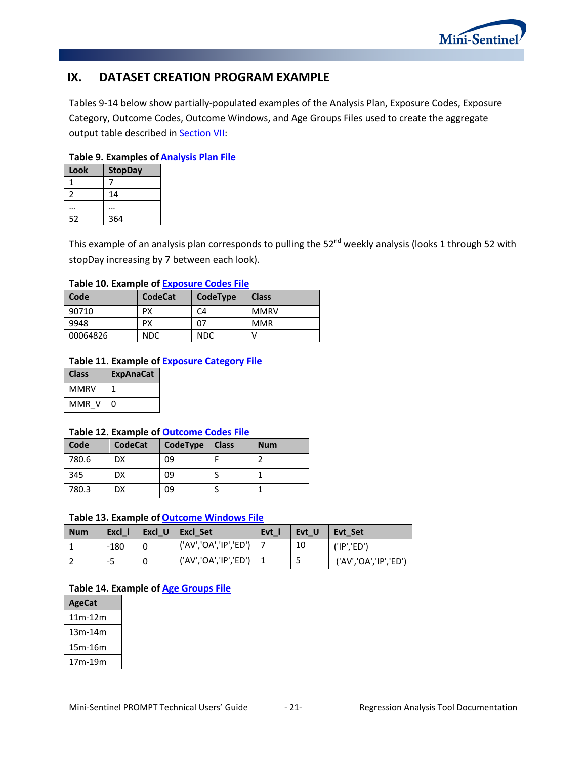

# <span id="page-22-0"></span>**IX. DATASET CREATION PROGRAM EXAMPLE**

Tables 9-14 below show partially-populated examples of the Analysis Plan, Exposure Codes, Exposure Category, Outcome Codes, Outcome Windows, and Age Groups Files used to create the aggregate output table described in **Section VII:** 

#### **Table 9. Examples of [Analysis Plan](#page-10-0) File**

| Look | <b>StopDay</b> |
|------|----------------|
|      |                |
|      | 14             |
|      |                |
| 52   | 364            |

This example of an analysis plan corresponds to pulling the 52<sup>nd</sup> weekly analysis (looks 1 through 52 with stopDay increasing by 7 between each look).

#### **Table 10. Example of [Exposure Codes File](#page-11-0)**

| Code     | <b>CodeCat</b> | CodeType   | <b>Class</b> |
|----------|----------------|------------|--------------|
| 90710    | РX             | C4         | <b>MMRV</b>  |
| 9948     | РX             | 07         | <b>MMR</b>   |
| 00064826 | <b>NDC</b>     | <b>NDC</b> |              |

#### **Table 11. Example of [Exposure Category](#page-13-0) File**

| <b>Class</b> | <b>ExpAnaCat</b> |
|--------------|------------------|
| MMRV         |                  |
| MMR V        | U                |

#### **Table 12. Example of [Outcome Codes](#page-14-0) File**

| Code  | <b>CodeCat</b> | CodeType | <b>Class</b> | <b>Num</b> |
|-------|----------------|----------|--------------|------------|
| 780.6 | DX             | 09       |              |            |
| 345   | DX             | 09       |              |            |
| 780.3 | DX             | 09       |              |            |

#### **Table 13. Example of [Outcome Windows](#page-16-0) File**

| <b>Num</b> | Excl 1 | Excl U | Excl Set              | <b>Evt</b> | Evt U | Evt Set               |
|------------|--------|--------|-----------------------|------------|-------|-----------------------|
|            | $-180$ |        | ('AV','OA','IP','ED') |            | 10    | ('IP', 'ED')          |
|            | -5     |        | ('AV','OA','IP','ED') |            |       | ('AV','OA','IP','ED') |

#### **Table 14. Example of [Age Groups File](#page-18-0)**

| <b>AgeCat</b> |
|---------------|
| 11m-12m       |
| 13m-14m       |
| 15m-16m       |
| 17m-19m       |
|               |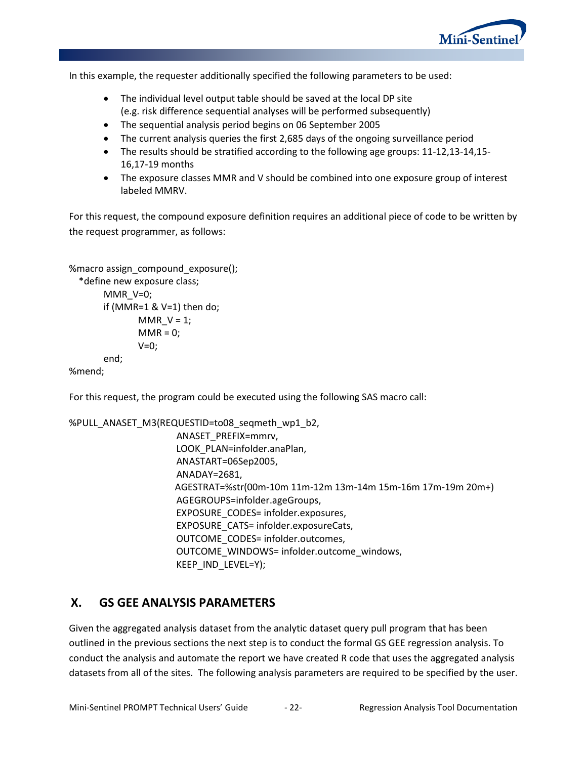

In this example, the requester additionally specified the following parameters to be used:

- The individual level output table should be saved at the local DP site (e.g. risk difference sequential analyses will be performed subsequently)
- The sequential analysis period begins on 06 September 2005
- The current analysis queries the first 2,685 days of the ongoing surveillance period
- The results should be stratified according to the following age groups: 11-12,13-14,15- 16,17-19 months
- The exposure classes MMR and V should be combined into one exposure group of interest labeled MMRV.

For this request, the compound exposure definition requires an additional piece of code to be written by the request programmer, as follows:

```
%macro assign_compound_exposure();
```

```
 *define new exposure class;
MMR_V=0;
if (MMR=1 & V=1) then do;
       MMR_V = 1;MMR = 0;V=0;end;
```
%mend;

For this request, the program could be executed using the following SAS macro call:

```
%PULL_ANASET_M3(REQUESTID=to08_seqmeth_wp1_b2,
                 ANASET_PREFIX=mmrv,
                 LOOK_PLAN=infolder.anaPlan,
                 ANASTART=06Sep2005,
                 ANADAY=2681,
                AGESTRAT=%str(00m-10m 11m-12m 13m-14m 15m-16m 17m-19m 20m+)
                 AGEGROUPS=infolder.ageGroups,
                 EXPOSURE_CODES= infolder.exposures,
                 EXPOSURE_CATS= infolder.exposureCats,
                 OUTCOME_CODES= infolder.outcomes,
                 OUTCOME_WINDOWS= infolder.outcome_windows,
                 KEEP_IND_LEVEL=Y);
```
# **X. GS GEE ANALYSIS PARAMETERS**

Given the aggregated analysis dataset from the analytic dataset query pull program that has been outlined in the previous sections the next step is to conduct the formal GS GEE regression analysis. To conduct the analysis and automate the report we have created R code that uses the aggregated analysis datasets from all of the sites. The following analysis parameters are required to be specified by the user.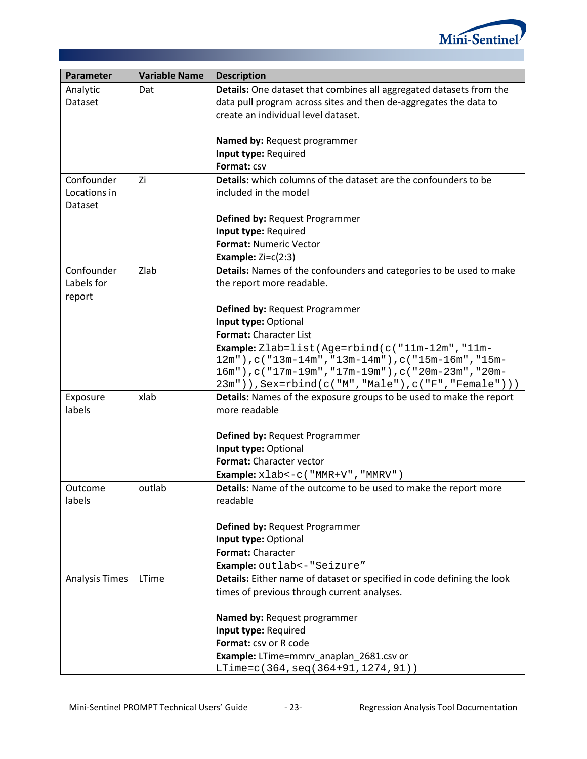

| Parameter             | <b>Variable Name</b> | <b>Description</b>                                                         |  |
|-----------------------|----------------------|----------------------------------------------------------------------------|--|
| Analytic              | Dat                  | Details: One dataset that combines all aggregated datasets from the        |  |
| Dataset               |                      | data pull program across sites and then de-aggregates the data to          |  |
|                       |                      | create an individual level dataset.                                        |  |
|                       |                      |                                                                            |  |
|                       |                      | Named by: Request programmer                                               |  |
|                       |                      | Input type: Required                                                       |  |
|                       |                      | Format: CSV                                                                |  |
| Confounder            | Zi                   | <b>Details:</b> which columns of the dataset are the confounders to be     |  |
| Locations in          |                      | included in the model                                                      |  |
| Dataset               |                      |                                                                            |  |
|                       |                      | Defined by: Request Programmer                                             |  |
|                       |                      | Input type: Required                                                       |  |
|                       |                      | Format: Numeric Vector                                                     |  |
|                       |                      | Example: $Zi = c(2:3)$                                                     |  |
| Confounder            | Zlab                 | Details: Names of the confounders and categories to be used to make        |  |
| Labels for            |                      | the report more readable.                                                  |  |
| report                |                      |                                                                            |  |
|                       |                      | Defined by: Request Programmer                                             |  |
|                       |                      | Input type: Optional<br>Format: Character List                             |  |
|                       |                      | <b>Example:</b> Zlab=list(Age=rbind(c("11m-12m","11m-                      |  |
|                       |                      | 12m"), c("13m-14m", "13m-14m"), c("15m-16m", "15m-                         |  |
|                       |                      | 16m"), c("17m-19m", "17m-19m"), c("20m-23m", "20m-                         |  |
|                       |                      | $23m"$ ) $)$ , Sex=rbind(c("M", "Male"), c("F", "Female") ) )              |  |
| Exposure              | xlab                 | <b>Details:</b> Names of the exposure groups to be used to make the report |  |
| labels                |                      | more readable                                                              |  |
|                       |                      |                                                                            |  |
|                       |                      | Defined by: Request Programmer                                             |  |
|                       |                      | Input type: Optional                                                       |  |
|                       |                      | Format: Character vector                                                   |  |
|                       |                      | Example: xlab <- c ( "MMR+V", "MMRV")                                      |  |
| Outcome               | outlab               | Details: Name of the outcome to be used to make the report more            |  |
| labels                |                      | readable                                                                   |  |
|                       |                      |                                                                            |  |
|                       |                      | Defined by: Request Programmer                                             |  |
|                       |                      | Input type: Optional<br>Format: Character                                  |  |
|                       |                      | Example: outlab <- "Seizure"                                               |  |
| <b>Analysis Times</b> | LTime                | Details: Either name of dataset or specified in code defining the look     |  |
|                       |                      | times of previous through current analyses.                                |  |
|                       |                      |                                                                            |  |
|                       |                      | Named by: Request programmer                                               |  |
|                       |                      | Input type: Required                                                       |  |
|                       |                      | Format: csv or R code                                                      |  |
|                       |                      | Example: LTime=mmrv_anaplan_2681.csv or                                    |  |
|                       |                      | LTime=c(364, seq(364+91, 1274, 91))                                        |  |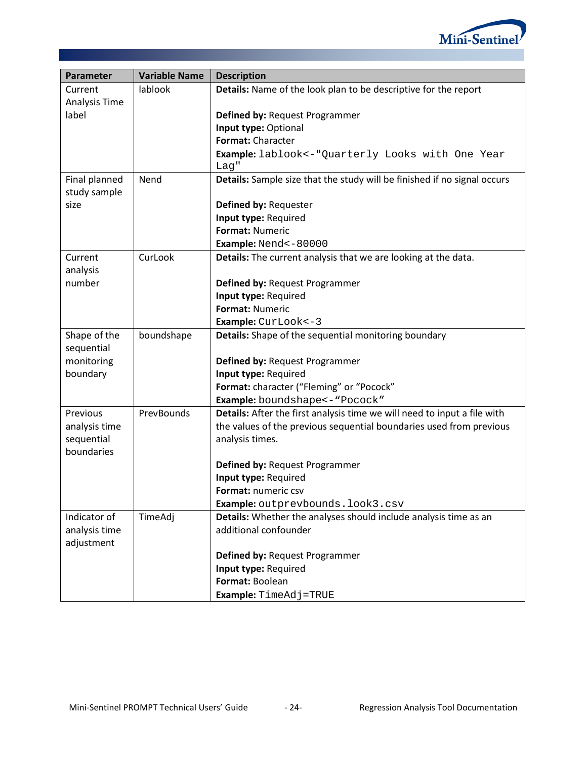

| Parameter              | <b>Variable Name</b> | <b>Description</b>                                                       |
|------------------------|----------------------|--------------------------------------------------------------------------|
| Current                | lablook              | Details: Name of the look plan to be descriptive for the report          |
| Analysis Time          |                      |                                                                          |
| label                  |                      | Defined by: Request Programmer                                           |
|                        |                      | Input type: Optional                                                     |
|                        |                      | Format: Character                                                        |
|                        |                      | Example: lablook <- "Quarterly Looks with One Year                       |
|                        |                      | Lag"                                                                     |
| Final planned          | Nend                 | Details: Sample size that the study will be finished if no signal occurs |
| study sample           |                      |                                                                          |
| size                   |                      | Defined by: Requester                                                    |
|                        |                      | Input type: Required                                                     |
|                        |                      | <b>Format: Numeric</b>                                                   |
|                        |                      | Example: Nend<-80000                                                     |
| Current                | CurLook              | Details: The current analysis that we are looking at the data.           |
| analysis               |                      |                                                                          |
| number                 |                      | Defined by: Request Programmer                                           |
|                        |                      | Input type: Required                                                     |
|                        |                      | <b>Format: Numeric</b>                                                   |
|                        |                      | Example: CurLook <- 3                                                    |
| Shape of the           | boundshape           | Details: Shape of the sequential monitoring boundary                     |
| sequential             |                      |                                                                          |
| monitoring<br>boundary |                      | Defined by: Request Programmer<br>Input type: Required                   |
|                        |                      | Format: character ("Fleming" or "Pocock"                                 |
|                        |                      | Example: boundshape<- "Pocock"                                           |
| Previous               | PrevBounds           | Details: After the first analysis time we will need to input a file with |
| analysis time          |                      | the values of the previous sequential boundaries used from previous      |
| sequential             |                      | analysis times.                                                          |
| boundaries             |                      |                                                                          |
|                        |                      | Defined by: Request Programmer                                           |
|                        |                      | Input type: Required                                                     |
|                        |                      | Format: numeric csv                                                      |
|                        |                      | Example: outprevbounds.look3.csv                                         |
| Indicator of           | TimeAdj              | Details: Whether the analyses should include analysis time as an         |
| analysis time          |                      | additional confounder                                                    |
| adjustment             |                      |                                                                          |
|                        |                      | Defined by: Request Programmer                                           |
|                        |                      | Input type: Required                                                     |
|                        |                      | Format: Boolean                                                          |
|                        |                      | Example: TimeAdj=TRUE                                                    |